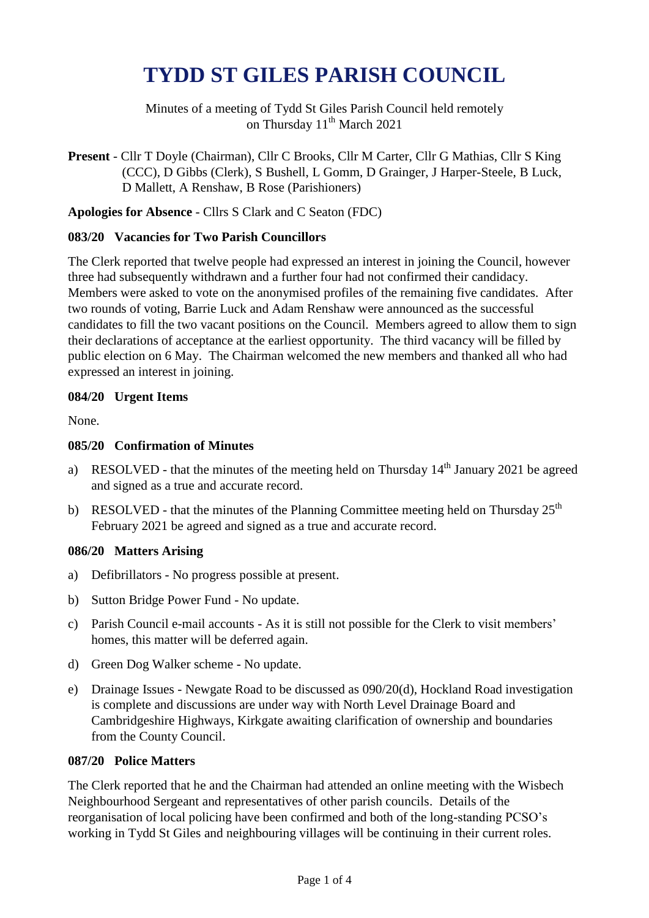# **TYDD ST GILES PARISH COUNCIL**

Minutes of a meeting of Tydd St Giles Parish Council held remotely on Thursday 11<sup>th</sup> March 2021

**Present** - Cllr T Doyle (Chairman), Cllr C Brooks, Cllr M Carter, Cllr G Mathias, Cllr S King (CCC), D Gibbs (Clerk), S Bushell, L Gomm, D Grainger, J Harper-Steele, B Luck, D Mallett, A Renshaw, B Rose (Parishioners)

**Apologies for Absence** - Cllrs S Clark and C Seaton (FDC)

# **083/20 Vacancies for Two Parish Councillors**

The Clerk reported that twelve people had expressed an interest in joining the Council, however three had subsequently withdrawn and a further four had not confirmed their candidacy. Members were asked to vote on the anonymised profiles of the remaining five candidates. After two rounds of voting, Barrie Luck and Adam Renshaw were announced as the successful candidates to fill the two vacant positions on the Council. Members agreed to allow them to sign their declarations of acceptance at the earliest opportunity. The third vacancy will be filled by public election on 6 May. The Chairman welcomed the new members and thanked all who had expressed an interest in joining.

# **084/20 Urgent Items**

None.

# **085/20 Confirmation of Minutes**

- a) RESOLVED that the minutes of the meeting held on Thursday  $14<sup>th</sup>$  January 2021 be agreed and signed as a true and accurate record.
- b) RESOLVED that the minutes of the Planning Committee meeting held on Thursday  $25<sup>th</sup>$ February 2021 be agreed and signed as a true and accurate record.

## **086/20 Matters Arising**

- a) Defibrillators No progress possible at present.
- b) Sutton Bridge Power Fund No update.
- c) Parish Council e-mail accounts As it is still not possible for the Clerk to visit members' homes, this matter will be deferred again.
- d) Green Dog Walker scheme No update.
- e) Drainage Issues Newgate Road to be discussed as 090/20(d), Hockland Road investigation is complete and discussions are under way with North Level Drainage Board and Cambridgeshire Highways, Kirkgate awaiting clarification of ownership and boundaries from the County Council.

## **087/20 Police Matters**

The Clerk reported that he and the Chairman had attended an online meeting with the Wisbech Neighbourhood Sergeant and representatives of other parish councils. Details of the reorganisation of local policing have been confirmed and both of the long-standing PCSO's working in Tydd St Giles and neighbouring villages will be continuing in their current roles.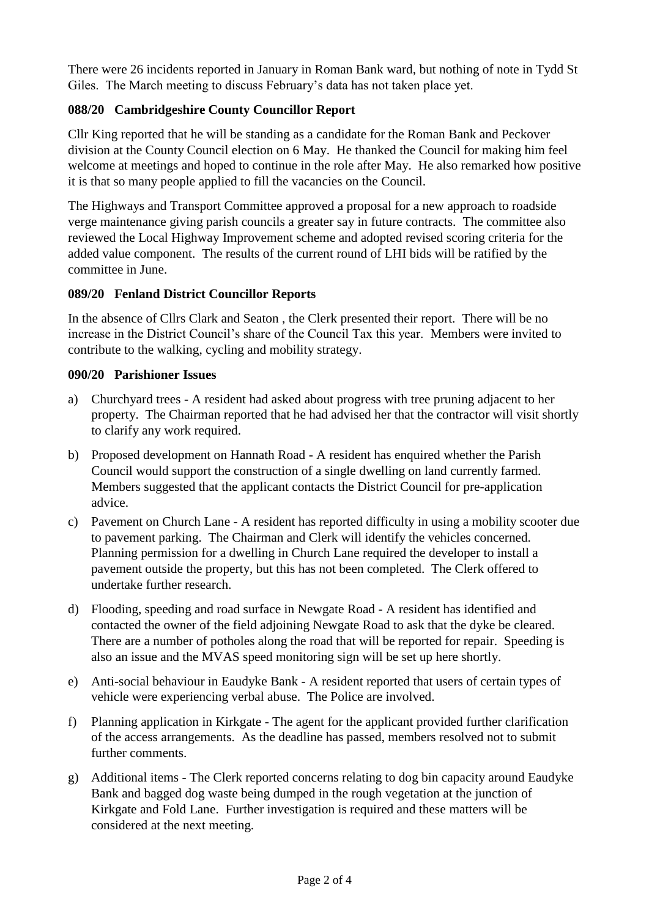There were 26 incidents reported in January in Roman Bank ward, but nothing of note in Tydd St Giles. The March meeting to discuss February's data has not taken place yet.

# **088/20 Cambridgeshire County Councillor Report**

Cllr King reported that he will be standing as a candidate for the Roman Bank and Peckover division at the County Council election on 6 May. He thanked the Council for making him feel welcome at meetings and hoped to continue in the role after May. He also remarked how positive it is that so many people applied to fill the vacancies on the Council.

The Highways and Transport Committee approved a proposal for a new approach to roadside verge maintenance giving parish councils a greater say in future contracts. The committee also reviewed the Local Highway Improvement scheme and adopted revised scoring criteria for the added value component. The results of the current round of LHI bids will be ratified by the committee in June.

# **089/20 Fenland District Councillor Reports**

In the absence of Cllrs Clark and Seaton , the Clerk presented their report. There will be no increase in the District Council's share of the Council Tax this year. Members were invited to contribute to the walking, cycling and mobility strategy.

## **090/20 Parishioner Issues**

- a) Churchyard trees A resident had asked about progress with tree pruning adjacent to her property. The Chairman reported that he had advised her that the contractor will visit shortly to clarify any work required.
- b) Proposed development on Hannath Road A resident has enquired whether the Parish Council would support the construction of a single dwelling on land currently farmed. Members suggested that the applicant contacts the District Council for pre-application advice.
- c) Pavement on Church Lane A resident has reported difficulty in using a mobility scooter due to pavement parking. The Chairman and Clerk will identify the vehicles concerned. Planning permission for a dwelling in Church Lane required the developer to install a pavement outside the property, but this has not been completed. The Clerk offered to undertake further research.
- d) Flooding, speeding and road surface in Newgate Road A resident has identified and contacted the owner of the field adjoining Newgate Road to ask that the dyke be cleared. There are a number of potholes along the road that will be reported for repair. Speeding is also an issue and the MVAS speed monitoring sign will be set up here shortly.
- e) Anti-social behaviour in Eaudyke Bank A resident reported that users of certain types of vehicle were experiencing verbal abuse. The Police are involved.
- f) Planning application in Kirkgate The agent for the applicant provided further clarification of the access arrangements. As the deadline has passed, members resolved not to submit further comments.
- g) Additional items The Clerk reported concerns relating to dog bin capacity around Eaudyke Bank and bagged dog waste being dumped in the rough vegetation at the junction of Kirkgate and Fold Lane. Further investigation is required and these matters will be considered at the next meeting.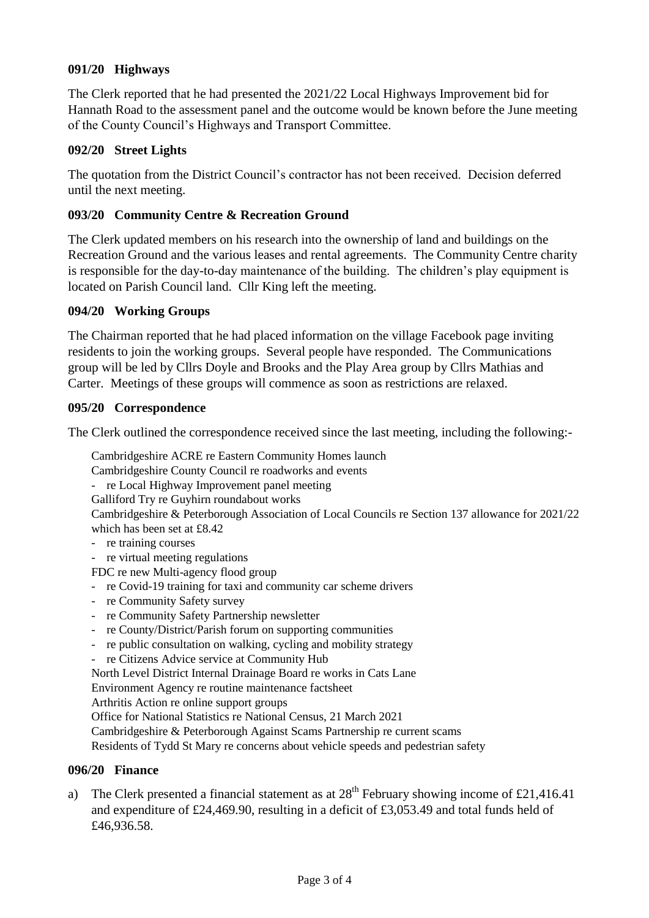## **091/20 Highways**

The Clerk reported that he had presented the 2021/22 Local Highways Improvement bid for Hannath Road to the assessment panel and the outcome would be known before the June meeting of the County Council's Highways and Transport Committee.

#### **092/20 Street Lights**

The quotation from the District Council's contractor has not been received. Decision deferred until the next meeting.

#### **093/20 Community Centre & Recreation Ground**

The Clerk updated members on his research into the ownership of land and buildings on the Recreation Ground and the various leases and rental agreements. The Community Centre charity is responsible for the day-to-day maintenance of the building. The children's play equipment is located on Parish Council land. Cllr King left the meeting.

#### **094/20 Working Groups**

The Chairman reported that he had placed information on the village Facebook page inviting residents to join the working groups. Several people have responded. The Communications group will be led by Cllrs Doyle and Brooks and the Play Area group by Cllrs Mathias and Carter. Meetings of these groups will commence as soon as restrictions are relaxed.

#### **095/20 Correspondence**

The Clerk outlined the correspondence received since the last meeting, including the following:-

Cambridgeshire ACRE re Eastern Community Homes launch

Cambridgeshire County Council re roadworks and events

- re Local Highway Improvement panel meeting

Galliford Try re Guyhirn roundabout works

Cambridgeshire & Peterborough Association of Local Councils re Section 137 allowance for 2021/22 which has been set at £8.42

- re training courses
- re virtual meeting regulations
- FDC re new Multi-agency flood group
- re Covid-19 training for taxi and community car scheme drivers
- re Community Safety survey
- re Community Safety Partnership newsletter
- re County/District/Parish forum on supporting communities
- re public consultation on walking, cycling and mobility strategy
- re Citizens Advice service at Community Hub

North Level District Internal Drainage Board re works in Cats Lane

Environment Agency re routine maintenance factsheet

Arthritis Action re online support groups

Office for National Statistics re National Census, 21 March 2021

Cambridgeshire & Peterborough Against Scams Partnership re current scams

Residents of Tydd St Mary re concerns about vehicle speeds and pedestrian safety

#### **096/20 Finance**

a) The Clerk presented a financial statement as at  $28<sup>th</sup>$  February showing income of £21,416.41 and expenditure of £24,469.90, resulting in a deficit of £3,053.49 and total funds held of £46,936.58.